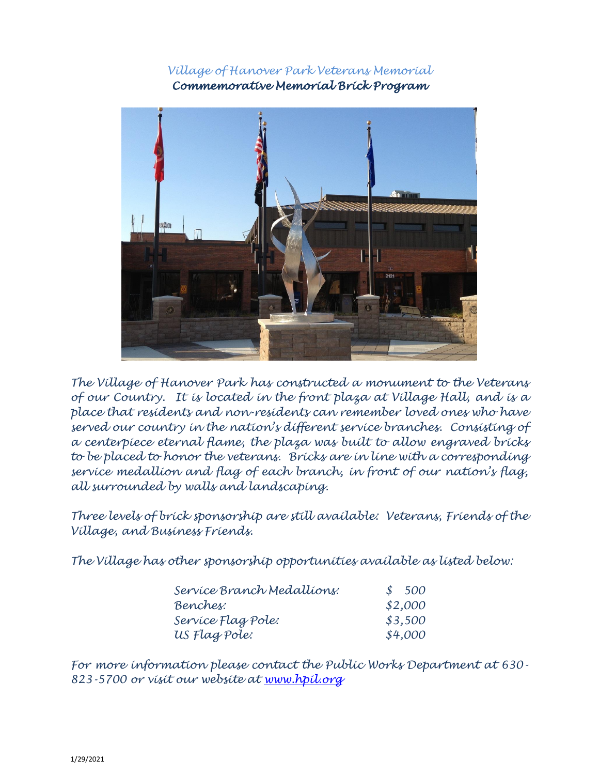*Village of Hanover Park Veterans Memorial Commemorative Memorial Brick Program* 



*The Village of Hanover Park has constructed a monument to the Veterans of our Country. It is located in the front plaza at Village Hall, and is a place that residents and non-residents can remember loved ones who have served our country in the nation's different service branches. Consisting of a centerpiece eternal flame, the plaza was built to allow engraved bricks to be placed to honor the veterans. Bricks are in line with a corresponding service medallion and flag of each branch, in front of our nation's flag, all surrounded by walls and landscaping.*

*Three levels of brick sponsorship are still available: Veterans, Friends of the Village, and Business Friends.*

*The Village has other sponsorship opportunities available as listed below:*

| Service Branch Medallions: | \$500   |
|----------------------------|---------|
| Benches:                   | \$2,000 |
| Service Flag Pole:         | \$3,500 |
| US Flag Pole:              | \$4,000 |

*For more information please contact the Public Works Department at 630- 823-5700 or visit our website at [www.hpil.org](http://www.hpil.org/)*